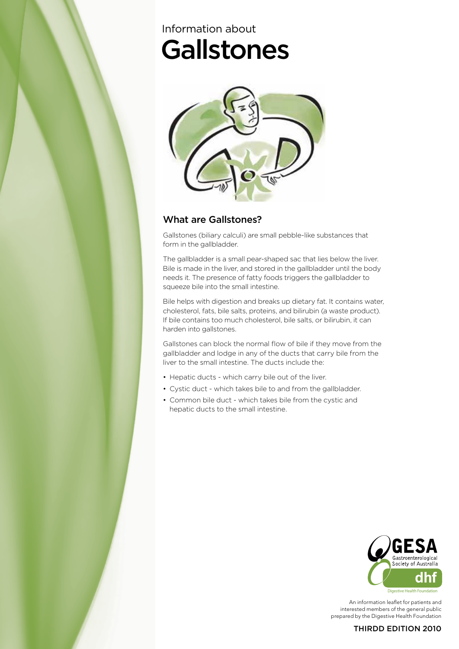# **Gallstones** Information about



# What are Gallstones?

Gallstones (biliary calculi) are small pebble-like substances that form in the gallbladder.

The gallbladder is a small pear-shaped sac that lies below the liver. Bile is made in the liver, and stored in the gallbladder until the body needs it. The presence of fatty foods triggers the gallbladder to squeeze bile into the small intestine.

Bile helps with digestion and breaks up dietary fat. It contains water, cholesterol, fats, bile salts, proteins, and bilirubin (a waste product). If bile contains too much cholesterol, bile salts, or bilirubin, it can harden into gallstones.

Gallstones can block the normal flow of bile if they move from the gallbladder and lodge in any of the ducts that carry bile from the liver to the small intestine. The ducts include the:

- Hepatic ducts which carry bile out of the liver.
- Cystic duct which takes bile to and from the gallbladder.
- Common bile duct which takes bile from the cystic and hepatic ducts to the small intestine.



An information leaflet for patients and interested members of the general public prepared by the Digestive Health Foundation

#### THIRDD EDITION 2010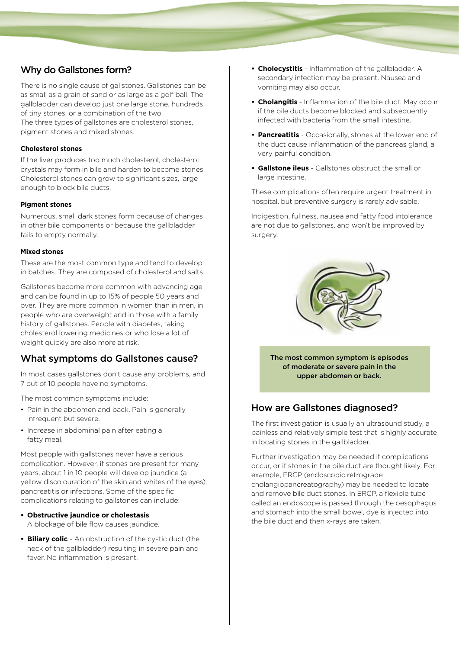## Why do Gallstones form?

There is no single cause of gallstones. Gallstones can be as small as a grain of sand or as large as a golf ball. The gallbladder can develop just one large stone, hundreds of tiny stones, or a combination of the two. The three types of gallstones are cholesterol stones, pigment stones and mixed stones.

#### **Cholesterol stones**

If the liver produces too much cholesterol, cholesterol crystals may form in bile and harden to become stones. Cholesterol stones can grow to significant sizes, large enough to block bile ducts.

#### **Pigment stones**

Numerous, small dark stones form because of changes in other bile components or because the gallbladder fails to empty normally.

#### **Mixed stones**

These are the most common type and tend to develop in batches. They are composed of cholesterol and salts.

Gallstones become more common with advancing age and can be found in up to 15% of people 50 years and over. They are more common in women than in men, in people who are overweight and in those with a family history of gallstones. People with diabetes, taking cholesterol lowering medicines or who lose a lot of weight quickly are also more at risk.

## What symptoms do Gallstones cause?

In most cases gallstones don't cause any problems, and 7 out of 10 people have no symptoms.

The most common symptoms include:

- Pain in the abdomen and back. Pain is generally infrequent but severe.
- Increase in abdominal pain after eating a fatty meal.

Most people with gallstones never have a serious complication. However, if stones are present for many years, about 1 in 10 people will develop jaundice (a yellow discolouration of the skin and whites of the eyes), pancreatitis or infections. Some of the specific complications relating to gallstones can include:

- **• Obstructive jaundice or cholestasis** A blockage of bile flow causes jaundice.
- **• Biliary colic** An obstruction of the cystic duct (the neck of the gallbladder) resulting in severe pain and fever. No inflammation is present.
- **• Cholecystitis** Inflammation of the gallbladder. A secondary infection may be present. Nausea and vomiting may also occur.
- **• Cholangitis** Inflammation of the bile duct. May occur if the bile ducts become blocked and subsequently infected with bacteria from the small intestine.
- **• Pancreatitis** Occasionally, stones at the lower end of the duct cause inflammation of the pancreas gland, a very painful condition.
- **• Gallstone ileus** Gallstones obstruct the small or large intestine.

These complications often require urgent treatment in hospital, but preventive surgery is rarely advisable.

Indigestion, fullness, nausea and fatty food intolerance are not due to gallstones, and won't be improved by surgery.



The most common symptom is episodes of moderate or severe pain in the upper abdomen or back.

## How are Gallstones diagnosed?

The first investigation is usually an ultrasound study, a painless and relatively simple test that is highly accurate in locating stones in the gallbladder.

Further investigation may be needed if complications occur, or if stones in the bile duct are thought likely. For example, ERCP (endoscopic retrograde cholangiopancreatography) may be needed to locate and remove bile duct stones. In ERCP, a flexible tube called an endoscope is passed through the oesophagus and stomach into the small bowel, dye is injected into the bile duct and then x-rays are taken.